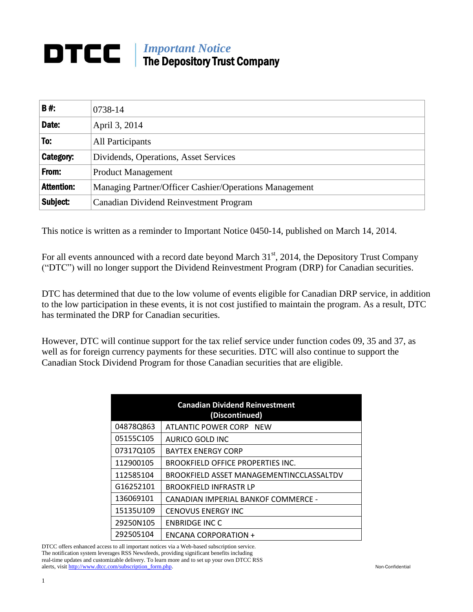## *Important Notice* DTCC The Depository Trust Company

| <b>B#:</b>       | 0738-14                                                |
|------------------|--------------------------------------------------------|
| Date:            | April 3, 2014                                          |
| To:              | All Participants                                       |
| <b>Category:</b> | Dividends, Operations, Asset Services                  |
| From:            | <b>Product Management</b>                              |
| Attention:       | Managing Partner/Officer Cashier/Operations Management |
| Subject:         | Canadian Dividend Reinvestment Program                 |

This notice is written as a reminder to Important Notice 0450-14, published on March 14, 2014.

For all events announced with a record date beyond March 31<sup>st</sup>, 2014, the Depository Trust Company ("DTC") will no longer support the Dividend Reinvestment Program (DRP) for Canadian securities.

DTC has determined that due to the low volume of events eligible for Canadian DRP service, in addition to the low participation in these events, it is not cost justified to maintain the program. As a result, DTC has terminated the DRP for Canadian securities.

However, DTC will continue support for the tax relief service under function codes 09, 35 and 37, as well as for foreign currency payments for these securities. DTC will also continue to support the Canadian Stock Dividend Program for those Canadian securities that are eligible.

| <b>Canadian Dividend Reinvestment</b><br>(Discontinued) |                                          |  |  |
|---------------------------------------------------------|------------------------------------------|--|--|
| 048780863                                               | ATLANTIC POWER CORP NEW                  |  |  |
| 05155C105                                               | AURICO GOLD INC                          |  |  |
| 07317Q105                                               | <b>BAYTEX ENERGY CORP</b>                |  |  |
| 112900105                                               | <b>BROOKFIELD OFFICE PROPERTIES INC.</b> |  |  |
| 112585104                                               | BROOKFIELD ASSET MANAGEMENTINCCLASSALTDV |  |  |
| G16252101                                               | <b>BROOKFIELD INFRASTR LP</b>            |  |  |
| 136069101                                               | CANADIAN IMPERIAL BANKOF COMMERCE -      |  |  |
| 15135U109                                               | <b>CENOVUS ENERGY INC</b>                |  |  |
| 29250N105                                               | <b>ENBRIDGE INC C</b>                    |  |  |
| 292505104                                               | ENCANA CORPORATION +                     |  |  |

DTCC offers enhanced access to all important notices via a Web-based subscription service. The notification system leverages RSS Newsfeeds, providing significant benefits including real-time updates and customizable delivery. To learn more and to set up your own DTCC RSS alerts, visit http://www.dtcc.com/subscription\_form.php. Non-Confidential